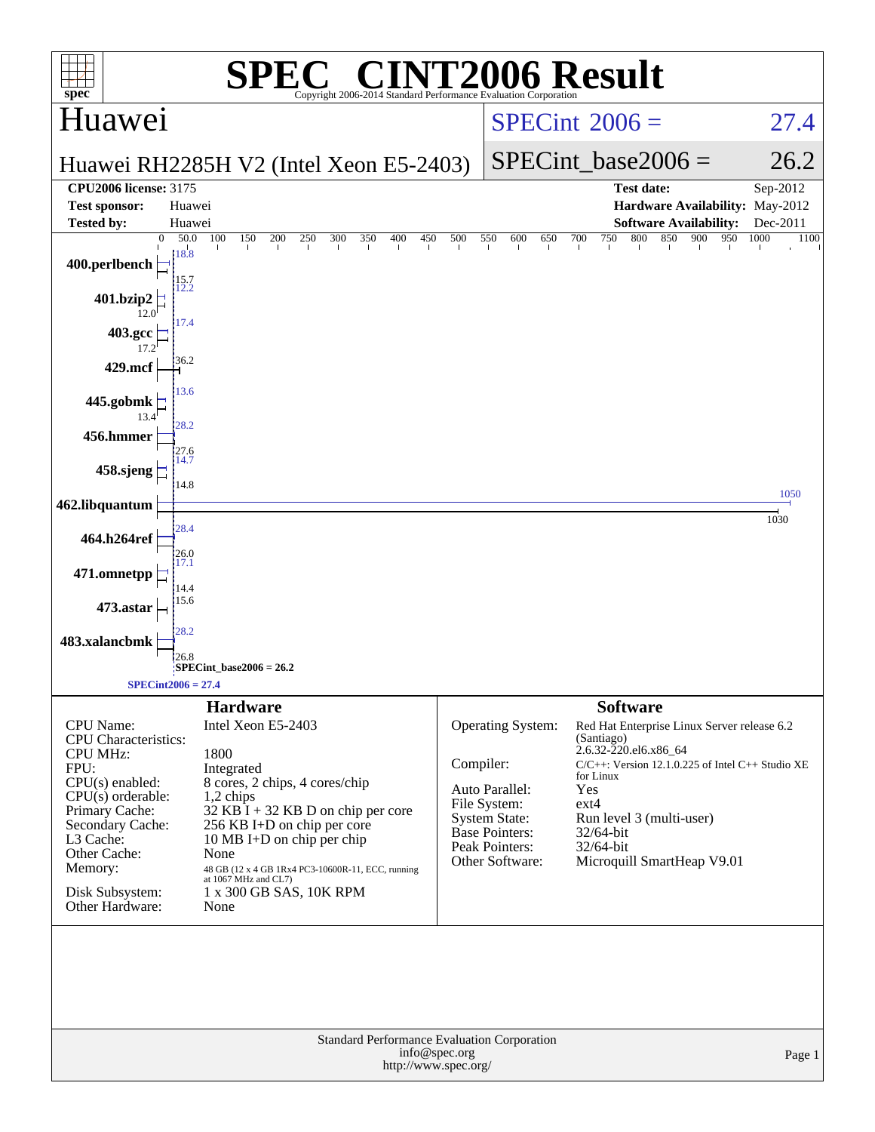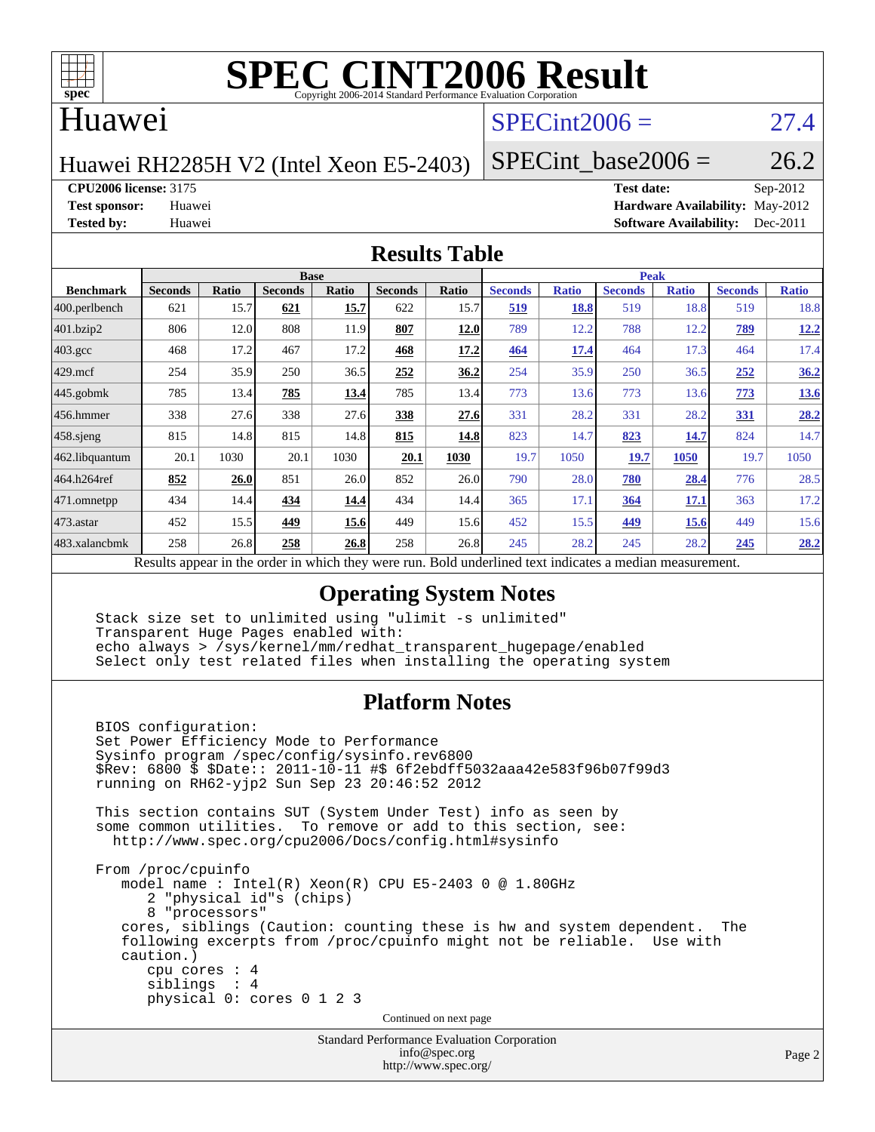

#### Huawei

### $SPECint2006 = 27.4$  $SPECint2006 = 27.4$

Huawei RH2285H V2 (Intel Xeon E5-2403)

SPECint base2006 =  $26.2$ 

**[CPU2006 license:](http://www.spec.org/auto/cpu2006/Docs/result-fields.html#CPU2006license)** 3175 **[Test date:](http://www.spec.org/auto/cpu2006/Docs/result-fields.html#Testdate)** Sep-2012

**[Test sponsor:](http://www.spec.org/auto/cpu2006/Docs/result-fields.html#Testsponsor)** Huawei **[Hardware Availability:](http://www.spec.org/auto/cpu2006/Docs/result-fields.html#HardwareAvailability)** May-2012 **[Tested by:](http://www.spec.org/auto/cpu2006/Docs/result-fields.html#Testedby)** Huawei **[Software Availability:](http://www.spec.org/auto/cpu2006/Docs/result-fields.html#SoftwareAvailability)** Dec-2011

#### **[Results Table](http://www.spec.org/auto/cpu2006/Docs/result-fields.html#ResultsTable)**

|                                                                                                             | <b>Base</b>    |       |                |       |                | <b>Peak</b> |                |              |                |              |                |              |
|-------------------------------------------------------------------------------------------------------------|----------------|-------|----------------|-------|----------------|-------------|----------------|--------------|----------------|--------------|----------------|--------------|
| <b>Benchmark</b>                                                                                            | <b>Seconds</b> | Ratio | <b>Seconds</b> | Ratio | <b>Seconds</b> | Ratio       | <b>Seconds</b> | <b>Ratio</b> | <b>Seconds</b> | <b>Ratio</b> | <b>Seconds</b> | <b>Ratio</b> |
| 400.perlbench                                                                                               | 621            | 15.7  | 621            | 15.7  | 622            | 15.7        | <u>519</u>     | 18.8         | 519            | 18.8         | 519            | 18.8         |
| 401.bzip2                                                                                                   | 806            | 12.0  | 808            | 11.9  | 807            | 12.0        | 789            | 12.2         | 788            | 12.2         | 789            | 12.2         |
| $403.\mathrm{gcc}$                                                                                          | 468            | 17.2  | 467            | 17.2  | 468            | 17.2        | 464            | 17.4         | 464            | 17.3         | 464            | 17.4         |
| $429$ mcf                                                                                                   | 254            | 35.9  | 250            | 36.5  | 252            | 36.2        | 254            | 35.9         | 250            | 36.5         | 252            | 36.2         |
| $445$ .gobmk                                                                                                | 785            | 13.4  | 785            | 13.4  | 785            | 13.4        | 773            | 13.6         | 773            | 13.6         | 773            | <b>13.6</b>  |
| $456.$ hmmer                                                                                                | 338            | 27.6  | 338            | 27.6  | 338            | 27.6        | 331            | 28.2         | 331            | 28.2         | <b>331</b>     | 28.2         |
| 458.sjeng                                                                                                   | 815            | 14.8  | 815            | 14.8  | 815            | 14.8        | 823            | 14.7         | 823            | 14.7         | 824            | 14.7         |
| 462.libquantum                                                                                              | 20.1           | 1030  | 20.1           | 1030  | 20.1           | 1030        | 19.7           | 1050         | 19.7           | <b>1050</b>  | 19.7           | 1050         |
| 464.h264ref                                                                                                 | 852            | 26.0  | 851            | 26.0  | 852            | 26.0        | 790            | 28.0         | 780            | 28.4         | 776            | 28.5         |
| 471.omnetpp                                                                                                 | 434            | 14.4  | 434            | 14.4  | 434            | 14.4        | 365            | 17.1         | <b>364</b>     | <u>17.1</u>  | 363            | 17.2         |
| $ 473$ . astar                                                                                              | 452            | 15.5  | 449            | 15.6  | 449            | 15.6        | 452            | 15.5         | 449            | 15.6         | 449            | 15.6         |
| 483.xalancbmk                                                                                               | 258            | 26.8  | 258            | 26.8  | 258            | 26.8        | 245            | 28.2         | 245            | 28.2         | 245            | 28.2         |
| Describe encourage in the conduction withink these weeks more<br>Deld and called to an indicate on a madian |                |       |                |       |                |             |                |              |                |              |                |              |

Results appear in the [order in which they were run.](http://www.spec.org/auto/cpu2006/Docs/result-fields.html#RunOrder) Bold underlined text [indicates a median measurement.](http://www.spec.org/auto/cpu2006/Docs/result-fields.html#Median)

#### **[Operating System Notes](http://www.spec.org/auto/cpu2006/Docs/result-fields.html#OperatingSystemNotes)**

 Stack size set to unlimited using "ulimit -s unlimited" Transparent Huge Pages enabled with: echo always > /sys/kernel/mm/redhat\_transparent\_hugepage/enabled Select only test related files when installing the operating system

#### **[Platform Notes](http://www.spec.org/auto/cpu2006/Docs/result-fields.html#PlatformNotes)**

Standard Performance Evaluation Corporation BIOS configuration: Set Power Efficiency Mode to Performance Sysinfo program /spec/config/sysinfo.rev6800 \$Rev: 6800 \$ \$Date:: 2011-10-11 #\$ 6f2ebdff5032aaa42e583f96b07f99d3 running on RH62-yjp2 Sun Sep 23 20:46:52 2012 This section contains SUT (System Under Test) info as seen by some common utilities. To remove or add to this section, see: <http://www.spec.org/cpu2006/Docs/config.html#sysinfo> From /proc/cpuinfo model name : Intel(R) Xeon(R) CPU E5-2403 0 @ 1.80GHz 2 "physical id"s (chips) 8 "processors" cores, siblings (Caution: counting these is hw and system dependent. The following excerpts from /proc/cpuinfo might not be reliable. Use with caution.) cpu cores : 4 siblings : 4 physical 0: cores 0 1 2 3 Continued on next page

> [info@spec.org](mailto:info@spec.org) <http://www.spec.org/>

Page 2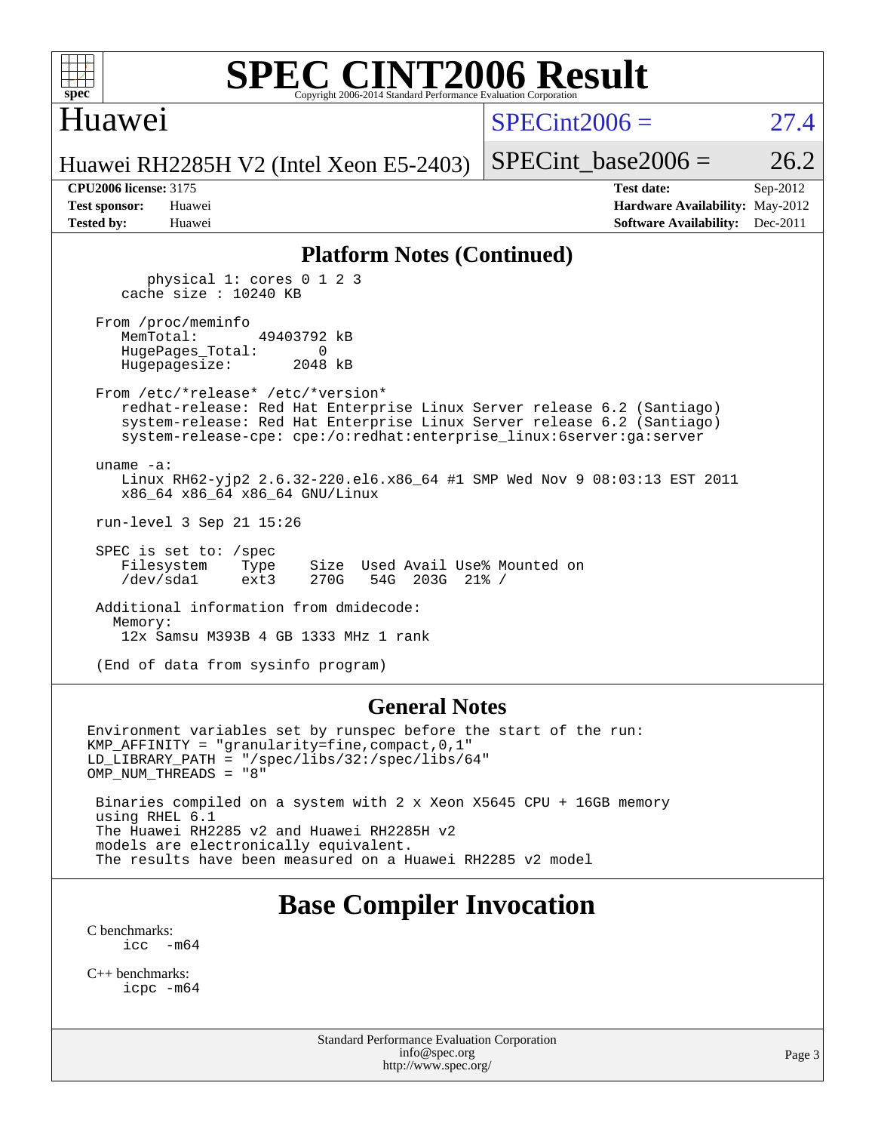## Huawei

 $SPECint2006 = 27.4$  $SPECint2006 = 27.4$ 

Huawei RH2285H V2 (Intel Xeon E5-2403)

SPECint base2006 =  $26.2$ 

**[CPU2006 license:](http://www.spec.org/auto/cpu2006/Docs/result-fields.html#CPU2006license)** 3175 **[Test date:](http://www.spec.org/auto/cpu2006/Docs/result-fields.html#Testdate)** Sep-2012 **[Test sponsor:](http://www.spec.org/auto/cpu2006/Docs/result-fields.html#Testsponsor)** Huawei **[Hardware Availability:](http://www.spec.org/auto/cpu2006/Docs/result-fields.html#HardwareAvailability)** May-2012 **[Tested by:](http://www.spec.org/auto/cpu2006/Docs/result-fields.html#Testedby)** Huawei **[Software Availability:](http://www.spec.org/auto/cpu2006/Docs/result-fields.html#SoftwareAvailability)** Dec-2011

#### **[Platform Notes \(Continued\)](http://www.spec.org/auto/cpu2006/Docs/result-fields.html#PlatformNotes)**

 physical 1: cores 0 1 2 3 cache size : 10240 KB

From /proc/meminfo<br>MemTotal: 49403792 kB HugePages\_Total: 0 Hugepagesize: 2048 kB

 From /etc/\*release\* /etc/\*version\* redhat-release: Red Hat Enterprise Linux Server release 6.2 (Santiago) system-release: Red Hat Enterprise Linux Server release 6.2 (Santiago) system-release-cpe: cpe:/o:redhat:enterprise\_linux:6server:ga:server

uname -a:

 Linux RH62-yjp2 2.6.32-220.el6.x86\_64 #1 SMP Wed Nov 9 08:03:13 EST 2011 x86\_64 x86\_64 x86\_64 GNU/Linux

run-level 3 Sep 21 15:26

 SPEC is set to: /spec Filesystem Type Size Used Avail Use% Mounted on /dev/sda1 ext3 270G 54G 203G 21% /

 Additional information from dmidecode: Memory: 12x Samsu M393B 4 GB 1333 MHz 1 rank

(End of data from sysinfo program)

#### **[General Notes](http://www.spec.org/auto/cpu2006/Docs/result-fields.html#GeneralNotes)**

Environment variables set by runspec before the start of the run: KMP\_AFFINITY = "granularity=fine,compact,0,1" LD\_LIBRARY\_PATH = "/spec/libs/32:/spec/libs/64" OMP\_NUM\_THREADS = "8" Binaries compiled on a system with 2 x Xeon X5645 CPU + 16GB memory using RHEL 6.1 The Huawei RH2285 v2 and Huawei RH2285H v2 models are electronically equivalent. The results have been measured on a Huawei RH2285 v2 model

## **[Base Compiler Invocation](http://www.spec.org/auto/cpu2006/Docs/result-fields.html#BaseCompilerInvocation)**

[C benchmarks](http://www.spec.org/auto/cpu2006/Docs/result-fields.html#Cbenchmarks): [icc -m64](http://www.spec.org/cpu2006/results/res2014q3/cpu2006-20140628-30058.flags.html#user_CCbase_intel_icc_64bit_f346026e86af2a669e726fe758c88044)

[C++ benchmarks:](http://www.spec.org/auto/cpu2006/Docs/result-fields.html#CXXbenchmarks) [icpc -m64](http://www.spec.org/cpu2006/results/res2014q3/cpu2006-20140628-30058.flags.html#user_CXXbase_intel_icpc_64bit_fc66a5337ce925472a5c54ad6a0de310)

> Standard Performance Evaluation Corporation [info@spec.org](mailto:info@spec.org) <http://www.spec.org/>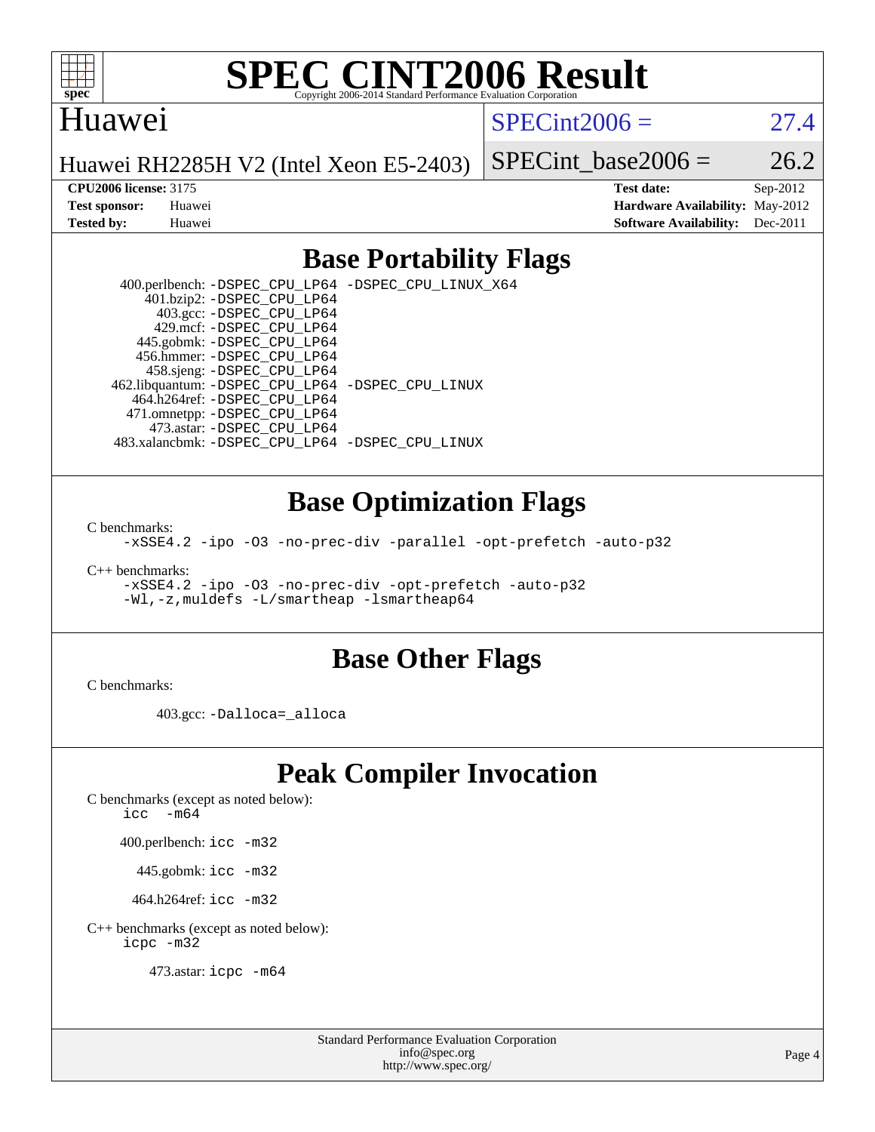

#### Huawei

 $SPECint2006 = 27.4$  $SPECint2006 = 27.4$ 

Huawei RH2285H V2 (Intel Xeon E5-2403)

SPECint base2006 =  $26.2$ 

**[CPU2006 license:](http://www.spec.org/auto/cpu2006/Docs/result-fields.html#CPU2006license)** 3175 **[Test date:](http://www.spec.org/auto/cpu2006/Docs/result-fields.html#Testdate)** Sep-2012 **[Test sponsor:](http://www.spec.org/auto/cpu2006/Docs/result-fields.html#Testsponsor)** Huawei **[Hardware Availability:](http://www.spec.org/auto/cpu2006/Docs/result-fields.html#HardwareAvailability)** May-2012 **[Tested by:](http://www.spec.org/auto/cpu2006/Docs/result-fields.html#Testedby)** Huawei **[Software Availability:](http://www.spec.org/auto/cpu2006/Docs/result-fields.html#SoftwareAvailability)** Dec-2011

### **[Base Portability Flags](http://www.spec.org/auto/cpu2006/Docs/result-fields.html#BasePortabilityFlags)**

 400.perlbench: [-DSPEC\\_CPU\\_LP64](http://www.spec.org/cpu2006/results/res2014q3/cpu2006-20140628-30058.flags.html#b400.perlbench_basePORTABILITY_DSPEC_CPU_LP64) [-DSPEC\\_CPU\\_LINUX\\_X64](http://www.spec.org/cpu2006/results/res2014q3/cpu2006-20140628-30058.flags.html#b400.perlbench_baseCPORTABILITY_DSPEC_CPU_LINUX_X64) 401.bzip2: [-DSPEC\\_CPU\\_LP64](http://www.spec.org/cpu2006/results/res2014q3/cpu2006-20140628-30058.flags.html#suite_basePORTABILITY401_bzip2_DSPEC_CPU_LP64) 403.gcc: [-DSPEC\\_CPU\\_LP64](http://www.spec.org/cpu2006/results/res2014q3/cpu2006-20140628-30058.flags.html#suite_basePORTABILITY403_gcc_DSPEC_CPU_LP64) 429.mcf: [-DSPEC\\_CPU\\_LP64](http://www.spec.org/cpu2006/results/res2014q3/cpu2006-20140628-30058.flags.html#suite_basePORTABILITY429_mcf_DSPEC_CPU_LP64) 445.gobmk: [-DSPEC\\_CPU\\_LP64](http://www.spec.org/cpu2006/results/res2014q3/cpu2006-20140628-30058.flags.html#suite_basePORTABILITY445_gobmk_DSPEC_CPU_LP64) 456.hmmer: [-DSPEC\\_CPU\\_LP64](http://www.spec.org/cpu2006/results/res2014q3/cpu2006-20140628-30058.flags.html#suite_basePORTABILITY456_hmmer_DSPEC_CPU_LP64) 458.sjeng: [-DSPEC\\_CPU\\_LP64](http://www.spec.org/cpu2006/results/res2014q3/cpu2006-20140628-30058.flags.html#suite_basePORTABILITY458_sjeng_DSPEC_CPU_LP64) 462.libquantum: [-DSPEC\\_CPU\\_LP64](http://www.spec.org/cpu2006/results/res2014q3/cpu2006-20140628-30058.flags.html#suite_basePORTABILITY462_libquantum_DSPEC_CPU_LP64) [-DSPEC\\_CPU\\_LINUX](http://www.spec.org/cpu2006/results/res2014q3/cpu2006-20140628-30058.flags.html#b462.libquantum_baseCPORTABILITY_DSPEC_CPU_LINUX) 464.h264ref: [-DSPEC\\_CPU\\_LP64](http://www.spec.org/cpu2006/results/res2014q3/cpu2006-20140628-30058.flags.html#suite_basePORTABILITY464_h264ref_DSPEC_CPU_LP64) 471.omnetpp: [-DSPEC\\_CPU\\_LP64](http://www.spec.org/cpu2006/results/res2014q3/cpu2006-20140628-30058.flags.html#suite_basePORTABILITY471_omnetpp_DSPEC_CPU_LP64) 473.astar: [-DSPEC\\_CPU\\_LP64](http://www.spec.org/cpu2006/results/res2014q3/cpu2006-20140628-30058.flags.html#suite_basePORTABILITY473_astar_DSPEC_CPU_LP64) 483.xalancbmk: [-DSPEC\\_CPU\\_LP64](http://www.spec.org/cpu2006/results/res2014q3/cpu2006-20140628-30058.flags.html#suite_basePORTABILITY483_xalancbmk_DSPEC_CPU_LP64) [-DSPEC\\_CPU\\_LINUX](http://www.spec.org/cpu2006/results/res2014q3/cpu2006-20140628-30058.flags.html#b483.xalancbmk_baseCXXPORTABILITY_DSPEC_CPU_LINUX)

#### **[Base Optimization Flags](http://www.spec.org/auto/cpu2006/Docs/result-fields.html#BaseOptimizationFlags)**

[C benchmarks](http://www.spec.org/auto/cpu2006/Docs/result-fields.html#Cbenchmarks):

[-xSSE4.2](http://www.spec.org/cpu2006/results/res2014q3/cpu2006-20140628-30058.flags.html#user_CCbase_f-xSSE42_f91528193cf0b216347adb8b939d4107) [-ipo](http://www.spec.org/cpu2006/results/res2014q3/cpu2006-20140628-30058.flags.html#user_CCbase_f-ipo) [-O3](http://www.spec.org/cpu2006/results/res2014q3/cpu2006-20140628-30058.flags.html#user_CCbase_f-O3) [-no-prec-div](http://www.spec.org/cpu2006/results/res2014q3/cpu2006-20140628-30058.flags.html#user_CCbase_f-no-prec-div) [-parallel](http://www.spec.org/cpu2006/results/res2014q3/cpu2006-20140628-30058.flags.html#user_CCbase_f-parallel) [-opt-prefetch](http://www.spec.org/cpu2006/results/res2014q3/cpu2006-20140628-30058.flags.html#user_CCbase_f-opt-prefetch) [-auto-p32](http://www.spec.org/cpu2006/results/res2014q3/cpu2006-20140628-30058.flags.html#user_CCbase_f-auto-p32)

[C++ benchmarks:](http://www.spec.org/auto/cpu2006/Docs/result-fields.html#CXXbenchmarks)

[-xSSE4.2](http://www.spec.org/cpu2006/results/res2014q3/cpu2006-20140628-30058.flags.html#user_CXXbase_f-xSSE42_f91528193cf0b216347adb8b939d4107) [-ipo](http://www.spec.org/cpu2006/results/res2014q3/cpu2006-20140628-30058.flags.html#user_CXXbase_f-ipo) [-O3](http://www.spec.org/cpu2006/results/res2014q3/cpu2006-20140628-30058.flags.html#user_CXXbase_f-O3) [-no-prec-div](http://www.spec.org/cpu2006/results/res2014q3/cpu2006-20140628-30058.flags.html#user_CXXbase_f-no-prec-div) [-opt-prefetch](http://www.spec.org/cpu2006/results/res2014q3/cpu2006-20140628-30058.flags.html#user_CXXbase_f-opt-prefetch) [-auto-p32](http://www.spec.org/cpu2006/results/res2014q3/cpu2006-20140628-30058.flags.html#user_CXXbase_f-auto-p32) [-Wl,-z,muldefs](http://www.spec.org/cpu2006/results/res2014q3/cpu2006-20140628-30058.flags.html#user_CXXbase_link_force_multiple1_74079c344b956b9658436fd1b6dd3a8a) [-L/smartheap -lsmartheap64](http://www.spec.org/cpu2006/results/res2014q3/cpu2006-20140628-30058.flags.html#user_CXXbase_SmartHeap64_5e654037dadeae1fe403ab4b4466e60b)

#### **[Base Other Flags](http://www.spec.org/auto/cpu2006/Docs/result-fields.html#BaseOtherFlags)**

[C benchmarks](http://www.spec.org/auto/cpu2006/Docs/result-fields.html#Cbenchmarks):

403.gcc: [-Dalloca=\\_alloca](http://www.spec.org/cpu2006/results/res2014q3/cpu2006-20140628-30058.flags.html#b403.gcc_baseEXTRA_CFLAGS_Dalloca_be3056838c12de2578596ca5467af7f3)

## **[Peak Compiler Invocation](http://www.spec.org/auto/cpu2006/Docs/result-fields.html#PeakCompilerInvocation)**

[C benchmarks \(except as noted below\)](http://www.spec.org/auto/cpu2006/Docs/result-fields.html#Cbenchmarksexceptasnotedbelow):

icc  $-m64$ 

400.perlbench: [icc -m32](http://www.spec.org/cpu2006/results/res2014q3/cpu2006-20140628-30058.flags.html#user_peakCCLD400_perlbench_intel_icc_a6a621f8d50482236b970c6ac5f55f93)

445.gobmk: [icc -m32](http://www.spec.org/cpu2006/results/res2014q3/cpu2006-20140628-30058.flags.html#user_peakCCLD445_gobmk_intel_icc_a6a621f8d50482236b970c6ac5f55f93)

464.h264ref: [icc -m32](http://www.spec.org/cpu2006/results/res2014q3/cpu2006-20140628-30058.flags.html#user_peakCCLD464_h264ref_intel_icc_a6a621f8d50482236b970c6ac5f55f93)

[C++ benchmarks \(except as noted below\):](http://www.spec.org/auto/cpu2006/Docs/result-fields.html#CXXbenchmarksexceptasnotedbelow) [icpc -m32](http://www.spec.org/cpu2006/results/res2014q3/cpu2006-20140628-30058.flags.html#user_CXXpeak_intel_icpc_4e5a5ef1a53fd332b3c49e69c3330699)

473.astar: [icpc -m64](http://www.spec.org/cpu2006/results/res2014q3/cpu2006-20140628-30058.flags.html#user_peakCXXLD473_astar_intel_icpc_64bit_fc66a5337ce925472a5c54ad6a0de310)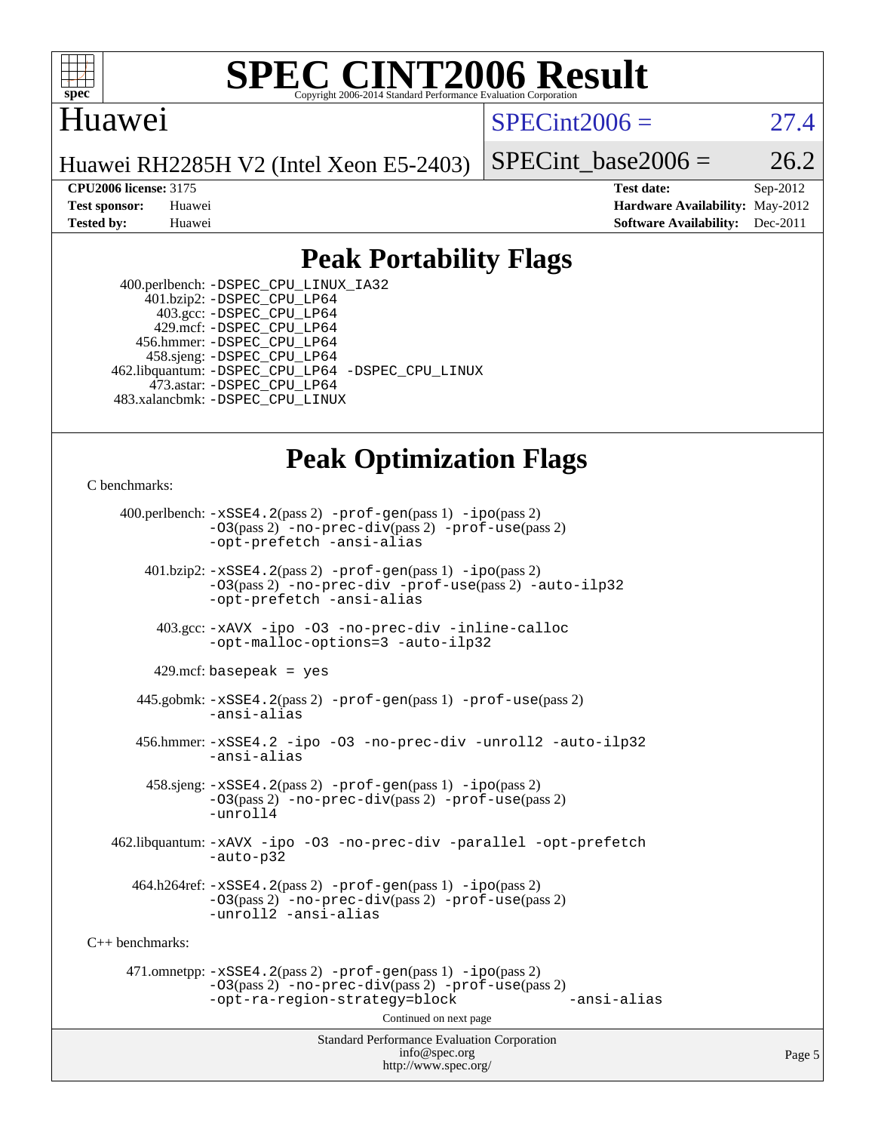

### Huawei

 $SPECint2006 = 27.4$  $SPECint2006 = 27.4$ 

Huawei RH2285H V2 (Intel Xeon E5-2403)

SPECint base2006 =  $26.2$ 

**[CPU2006 license:](http://www.spec.org/auto/cpu2006/Docs/result-fields.html#CPU2006license)** 3175 **[Test date:](http://www.spec.org/auto/cpu2006/Docs/result-fields.html#Testdate)** Sep-2012 **[Test sponsor:](http://www.spec.org/auto/cpu2006/Docs/result-fields.html#Testsponsor)** Huawei **[Hardware Availability:](http://www.spec.org/auto/cpu2006/Docs/result-fields.html#HardwareAvailability)** May-2012 **[Tested by:](http://www.spec.org/auto/cpu2006/Docs/result-fields.html#Testedby)** Huawei **[Software Availability:](http://www.spec.org/auto/cpu2006/Docs/result-fields.html#SoftwareAvailability)** Dec-2011

### **[Peak Portability Flags](http://www.spec.org/auto/cpu2006/Docs/result-fields.html#PeakPortabilityFlags)**

 400.perlbench: [-DSPEC\\_CPU\\_LINUX\\_IA32](http://www.spec.org/cpu2006/results/res2014q3/cpu2006-20140628-30058.flags.html#b400.perlbench_peakCPORTABILITY_DSPEC_CPU_LINUX_IA32) 401.bzip2: [-DSPEC\\_CPU\\_LP64](http://www.spec.org/cpu2006/results/res2014q3/cpu2006-20140628-30058.flags.html#suite_peakPORTABILITY401_bzip2_DSPEC_CPU_LP64) 403.gcc: [-DSPEC\\_CPU\\_LP64](http://www.spec.org/cpu2006/results/res2014q3/cpu2006-20140628-30058.flags.html#suite_peakPORTABILITY403_gcc_DSPEC_CPU_LP64) 429.mcf: [-DSPEC\\_CPU\\_LP64](http://www.spec.org/cpu2006/results/res2014q3/cpu2006-20140628-30058.flags.html#suite_peakPORTABILITY429_mcf_DSPEC_CPU_LP64) 456.hmmer: [-DSPEC\\_CPU\\_LP64](http://www.spec.org/cpu2006/results/res2014q3/cpu2006-20140628-30058.flags.html#suite_peakPORTABILITY456_hmmer_DSPEC_CPU_LP64) 458.sjeng: [-DSPEC\\_CPU\\_LP64](http://www.spec.org/cpu2006/results/res2014q3/cpu2006-20140628-30058.flags.html#suite_peakPORTABILITY458_sjeng_DSPEC_CPU_LP64) 462.libquantum: [-DSPEC\\_CPU\\_LP64](http://www.spec.org/cpu2006/results/res2014q3/cpu2006-20140628-30058.flags.html#suite_peakPORTABILITY462_libquantum_DSPEC_CPU_LP64) [-DSPEC\\_CPU\\_LINUX](http://www.spec.org/cpu2006/results/res2014q3/cpu2006-20140628-30058.flags.html#b462.libquantum_peakCPORTABILITY_DSPEC_CPU_LINUX) 473.astar: [-DSPEC\\_CPU\\_LP64](http://www.spec.org/cpu2006/results/res2014q3/cpu2006-20140628-30058.flags.html#suite_peakPORTABILITY473_astar_DSPEC_CPU_LP64) 483.xalancbmk: [-DSPEC\\_CPU\\_LINUX](http://www.spec.org/cpu2006/results/res2014q3/cpu2006-20140628-30058.flags.html#b483.xalancbmk_peakCXXPORTABILITY_DSPEC_CPU_LINUX)

### **[Peak Optimization Flags](http://www.spec.org/auto/cpu2006/Docs/result-fields.html#PeakOptimizationFlags)**

[C benchmarks](http://www.spec.org/auto/cpu2006/Docs/result-fields.html#Cbenchmarks):

Standard Performance Evaluation Corporation [info@spec.org](mailto:info@spec.org) 400.perlbench: [-xSSE4.2](http://www.spec.org/cpu2006/results/res2014q3/cpu2006-20140628-30058.flags.html#user_peakPASS2_CFLAGSPASS2_LDCFLAGS400_perlbench_f-xSSE42_f91528193cf0b216347adb8b939d4107)(pass 2) [-prof-gen](http://www.spec.org/cpu2006/results/res2014q3/cpu2006-20140628-30058.flags.html#user_peakPASS1_CFLAGSPASS1_LDCFLAGS400_perlbench_prof_gen_e43856698f6ca7b7e442dfd80e94a8fc)(pass 1) [-ipo](http://www.spec.org/cpu2006/results/res2014q3/cpu2006-20140628-30058.flags.html#user_peakPASS2_CFLAGSPASS2_LDCFLAGS400_perlbench_f-ipo)(pass 2) [-O3](http://www.spec.org/cpu2006/results/res2014q3/cpu2006-20140628-30058.flags.html#user_peakPASS2_CFLAGSPASS2_LDCFLAGS400_perlbench_f-O3)(pass 2) [-no-prec-div](http://www.spec.org/cpu2006/results/res2014q3/cpu2006-20140628-30058.flags.html#user_peakPASS2_CFLAGSPASS2_LDCFLAGS400_perlbench_f-no-prec-div)(pass 2) [-prof-use](http://www.spec.org/cpu2006/results/res2014q3/cpu2006-20140628-30058.flags.html#user_peakPASS2_CFLAGSPASS2_LDCFLAGS400_perlbench_prof_use_bccf7792157ff70d64e32fe3e1250b55)(pass 2) [-opt-prefetch](http://www.spec.org/cpu2006/results/res2014q3/cpu2006-20140628-30058.flags.html#user_peakCOPTIMIZE400_perlbench_f-opt-prefetch) [-ansi-alias](http://www.spec.org/cpu2006/results/res2014q3/cpu2006-20140628-30058.flags.html#user_peakCOPTIMIZE400_perlbench_f-ansi-alias) 401.bzip2: [-xSSE4.2](http://www.spec.org/cpu2006/results/res2014q3/cpu2006-20140628-30058.flags.html#user_peakPASS2_CFLAGSPASS2_LDCFLAGS401_bzip2_f-xSSE42_f91528193cf0b216347adb8b939d4107)(pass 2) [-prof-gen](http://www.spec.org/cpu2006/results/res2014q3/cpu2006-20140628-30058.flags.html#user_peakPASS1_CFLAGSPASS1_LDCFLAGS401_bzip2_prof_gen_e43856698f6ca7b7e442dfd80e94a8fc)(pass 1) [-ipo](http://www.spec.org/cpu2006/results/res2014q3/cpu2006-20140628-30058.flags.html#user_peakPASS2_CFLAGSPASS2_LDCFLAGS401_bzip2_f-ipo)(pass 2) [-O3](http://www.spec.org/cpu2006/results/res2014q3/cpu2006-20140628-30058.flags.html#user_peakPASS2_CFLAGSPASS2_LDCFLAGS401_bzip2_f-O3)(pass 2) [-no-prec-div](http://www.spec.org/cpu2006/results/res2014q3/cpu2006-20140628-30058.flags.html#user_peakCOPTIMIZEPASS2_CFLAGSPASS2_LDCFLAGS401_bzip2_f-no-prec-div) [-prof-use](http://www.spec.org/cpu2006/results/res2014q3/cpu2006-20140628-30058.flags.html#user_peakPASS2_CFLAGSPASS2_LDCFLAGS401_bzip2_prof_use_bccf7792157ff70d64e32fe3e1250b55)(pass 2) [-auto-ilp32](http://www.spec.org/cpu2006/results/res2014q3/cpu2006-20140628-30058.flags.html#user_peakCOPTIMIZE401_bzip2_f-auto-ilp32) [-opt-prefetch](http://www.spec.org/cpu2006/results/res2014q3/cpu2006-20140628-30058.flags.html#user_peakCOPTIMIZE401_bzip2_f-opt-prefetch) [-ansi-alias](http://www.spec.org/cpu2006/results/res2014q3/cpu2006-20140628-30058.flags.html#user_peakCOPTIMIZE401_bzip2_f-ansi-alias) 403.gcc: [-xAVX](http://www.spec.org/cpu2006/results/res2014q3/cpu2006-20140628-30058.flags.html#user_peakCOPTIMIZE403_gcc_f-xAVX) [-ipo](http://www.spec.org/cpu2006/results/res2014q3/cpu2006-20140628-30058.flags.html#user_peakCOPTIMIZE403_gcc_f-ipo) [-O3](http://www.spec.org/cpu2006/results/res2014q3/cpu2006-20140628-30058.flags.html#user_peakCOPTIMIZE403_gcc_f-O3) [-no-prec-div](http://www.spec.org/cpu2006/results/res2014q3/cpu2006-20140628-30058.flags.html#user_peakCOPTIMIZE403_gcc_f-no-prec-div) [-inline-calloc](http://www.spec.org/cpu2006/results/res2014q3/cpu2006-20140628-30058.flags.html#user_peakCOPTIMIZE403_gcc_f-inline-calloc) [-opt-malloc-options=3](http://www.spec.org/cpu2006/results/res2014q3/cpu2006-20140628-30058.flags.html#user_peakCOPTIMIZE403_gcc_f-opt-malloc-options_13ab9b803cf986b4ee62f0a5998c2238) [-auto-ilp32](http://www.spec.org/cpu2006/results/res2014q3/cpu2006-20140628-30058.flags.html#user_peakCOPTIMIZE403_gcc_f-auto-ilp32)  $429$ .mcf: basepeak = yes 445.gobmk: [-xSSE4.2](http://www.spec.org/cpu2006/results/res2014q3/cpu2006-20140628-30058.flags.html#user_peakPASS2_CFLAGSPASS2_LDCFLAGS445_gobmk_f-xSSE42_f91528193cf0b216347adb8b939d4107)(pass 2) [-prof-gen](http://www.spec.org/cpu2006/results/res2014q3/cpu2006-20140628-30058.flags.html#user_peakPASS1_CFLAGSPASS1_LDCFLAGS445_gobmk_prof_gen_e43856698f6ca7b7e442dfd80e94a8fc)(pass 1) [-prof-use](http://www.spec.org/cpu2006/results/res2014q3/cpu2006-20140628-30058.flags.html#user_peakPASS2_CFLAGSPASS2_LDCFLAGS445_gobmk_prof_use_bccf7792157ff70d64e32fe3e1250b55)(pass 2) [-ansi-alias](http://www.spec.org/cpu2006/results/res2014q3/cpu2006-20140628-30058.flags.html#user_peakCOPTIMIZE445_gobmk_f-ansi-alias) 456.hmmer: [-xSSE4.2](http://www.spec.org/cpu2006/results/res2014q3/cpu2006-20140628-30058.flags.html#user_peakCOPTIMIZE456_hmmer_f-xSSE42_f91528193cf0b216347adb8b939d4107) [-ipo](http://www.spec.org/cpu2006/results/res2014q3/cpu2006-20140628-30058.flags.html#user_peakCOPTIMIZE456_hmmer_f-ipo) [-O3](http://www.spec.org/cpu2006/results/res2014q3/cpu2006-20140628-30058.flags.html#user_peakCOPTIMIZE456_hmmer_f-O3) [-no-prec-div](http://www.spec.org/cpu2006/results/res2014q3/cpu2006-20140628-30058.flags.html#user_peakCOPTIMIZE456_hmmer_f-no-prec-div) [-unroll2](http://www.spec.org/cpu2006/results/res2014q3/cpu2006-20140628-30058.flags.html#user_peakCOPTIMIZE456_hmmer_f-unroll_784dae83bebfb236979b41d2422d7ec2) [-auto-ilp32](http://www.spec.org/cpu2006/results/res2014q3/cpu2006-20140628-30058.flags.html#user_peakCOPTIMIZE456_hmmer_f-auto-ilp32) [-ansi-alias](http://www.spec.org/cpu2006/results/res2014q3/cpu2006-20140628-30058.flags.html#user_peakCOPTIMIZE456_hmmer_f-ansi-alias) 458.sjeng: [-xSSE4.2](http://www.spec.org/cpu2006/results/res2014q3/cpu2006-20140628-30058.flags.html#user_peakPASS2_CFLAGSPASS2_LDCFLAGS458_sjeng_f-xSSE42_f91528193cf0b216347adb8b939d4107)(pass 2) [-prof-gen](http://www.spec.org/cpu2006/results/res2014q3/cpu2006-20140628-30058.flags.html#user_peakPASS1_CFLAGSPASS1_LDCFLAGS458_sjeng_prof_gen_e43856698f6ca7b7e442dfd80e94a8fc)(pass 1) [-ipo](http://www.spec.org/cpu2006/results/res2014q3/cpu2006-20140628-30058.flags.html#user_peakPASS2_CFLAGSPASS2_LDCFLAGS458_sjeng_f-ipo)(pass 2) [-O3](http://www.spec.org/cpu2006/results/res2014q3/cpu2006-20140628-30058.flags.html#user_peakPASS2_CFLAGSPASS2_LDCFLAGS458_sjeng_f-O3)(pass 2) [-no-prec-div](http://www.spec.org/cpu2006/results/res2014q3/cpu2006-20140628-30058.flags.html#user_peakPASS2_CFLAGSPASS2_LDCFLAGS458_sjeng_f-no-prec-div)(pass 2) [-prof-use](http://www.spec.org/cpu2006/results/res2014q3/cpu2006-20140628-30058.flags.html#user_peakPASS2_CFLAGSPASS2_LDCFLAGS458_sjeng_prof_use_bccf7792157ff70d64e32fe3e1250b55)(pass 2) [-unroll4](http://www.spec.org/cpu2006/results/res2014q3/cpu2006-20140628-30058.flags.html#user_peakCOPTIMIZE458_sjeng_f-unroll_4e5e4ed65b7fd20bdcd365bec371b81f) 462.libquantum: [-xAVX](http://www.spec.org/cpu2006/results/res2014q3/cpu2006-20140628-30058.flags.html#user_peakCOPTIMIZE462_libquantum_f-xAVX) [-ipo](http://www.spec.org/cpu2006/results/res2014q3/cpu2006-20140628-30058.flags.html#user_peakCOPTIMIZE462_libquantum_f-ipo) [-O3](http://www.spec.org/cpu2006/results/res2014q3/cpu2006-20140628-30058.flags.html#user_peakCOPTIMIZE462_libquantum_f-O3) [-no-prec-div](http://www.spec.org/cpu2006/results/res2014q3/cpu2006-20140628-30058.flags.html#user_peakCOPTIMIZE462_libquantum_f-no-prec-div) [-parallel](http://www.spec.org/cpu2006/results/res2014q3/cpu2006-20140628-30058.flags.html#user_peakCOPTIMIZE462_libquantum_f-parallel) [-opt-prefetch](http://www.spec.org/cpu2006/results/res2014q3/cpu2006-20140628-30058.flags.html#user_peakCOPTIMIZE462_libquantum_f-opt-prefetch) [-auto-p32](http://www.spec.org/cpu2006/results/res2014q3/cpu2006-20140628-30058.flags.html#user_peakCOPTIMIZE462_libquantum_f-auto-p32)  $464.h264$ ref:  $-xSSE4$ .  $2(pass 2)$  [-prof-gen](http://www.spec.org/cpu2006/results/res2014q3/cpu2006-20140628-30058.flags.html#user_peakPASS1_CFLAGSPASS1_LDCFLAGS464_h264ref_prof_gen_e43856698f6ca7b7e442dfd80e94a8fc)(pass 1) [-ipo](http://www.spec.org/cpu2006/results/res2014q3/cpu2006-20140628-30058.flags.html#user_peakPASS2_CFLAGSPASS2_LDCFLAGS464_h264ref_f-ipo)(pass 2) [-O3](http://www.spec.org/cpu2006/results/res2014q3/cpu2006-20140628-30058.flags.html#user_peakPASS2_CFLAGSPASS2_LDCFLAGS464_h264ref_f-O3)(pass 2) [-no-prec-div](http://www.spec.org/cpu2006/results/res2014q3/cpu2006-20140628-30058.flags.html#user_peakPASS2_CFLAGSPASS2_LDCFLAGS464_h264ref_f-no-prec-div)(pass 2) [-prof-use](http://www.spec.org/cpu2006/results/res2014q3/cpu2006-20140628-30058.flags.html#user_peakPASS2_CFLAGSPASS2_LDCFLAGS464_h264ref_prof_use_bccf7792157ff70d64e32fe3e1250b55)(pass 2) [-unroll2](http://www.spec.org/cpu2006/results/res2014q3/cpu2006-20140628-30058.flags.html#user_peakCOPTIMIZE464_h264ref_f-unroll_784dae83bebfb236979b41d2422d7ec2) [-ansi-alias](http://www.spec.org/cpu2006/results/res2014q3/cpu2006-20140628-30058.flags.html#user_peakCOPTIMIZE464_h264ref_f-ansi-alias) [C++ benchmarks:](http://www.spec.org/auto/cpu2006/Docs/result-fields.html#CXXbenchmarks) 471.omnetpp: [-xSSE4.2](http://www.spec.org/cpu2006/results/res2014q3/cpu2006-20140628-30058.flags.html#user_peakPASS2_CXXFLAGSPASS2_LDCXXFLAGS471_omnetpp_f-xSSE42_f91528193cf0b216347adb8b939d4107)(pass 2) [-prof-gen](http://www.spec.org/cpu2006/results/res2014q3/cpu2006-20140628-30058.flags.html#user_peakPASS1_CXXFLAGSPASS1_LDCXXFLAGS471_omnetpp_prof_gen_e43856698f6ca7b7e442dfd80e94a8fc)(pass 1) [-ipo](http://www.spec.org/cpu2006/results/res2014q3/cpu2006-20140628-30058.flags.html#user_peakPASS2_CXXFLAGSPASS2_LDCXXFLAGS471_omnetpp_f-ipo)(pass 2) [-O3](http://www.spec.org/cpu2006/results/res2014q3/cpu2006-20140628-30058.flags.html#user_peakPASS2_CXXFLAGSPASS2_LDCXXFLAGS471_omnetpp_f-O3)(pass 2) [-no-prec-div](http://www.spec.org/cpu2006/results/res2014q3/cpu2006-20140628-30058.flags.html#user_peakPASS2_CXXFLAGSPASS2_LDCXXFLAGS471_omnetpp_f-no-prec-div)(pass 2) [-prof-use](http://www.spec.org/cpu2006/results/res2014q3/cpu2006-20140628-30058.flags.html#user_peakPASS2_CXXFLAGSPASS2_LDCXXFLAGS471_omnetpp_prof_use_bccf7792157ff70d64e32fe3e1250b55)(pass 2) [-opt-ra-region-strategy=block](http://www.spec.org/cpu2006/results/res2014q3/cpu2006-20140628-30058.flags.html#user_peakCXXOPTIMIZE471_omnetpp_f-opt-ra-region-strategy_5382940c29ea30302d682fc74bfe0147) [-ansi-alias](http://www.spec.org/cpu2006/results/res2014q3/cpu2006-20140628-30058.flags.html#user_peakCXXOPTIMIZE471_omnetpp_f-ansi-alias) Continued on next page

<http://www.spec.org/>

Page 5